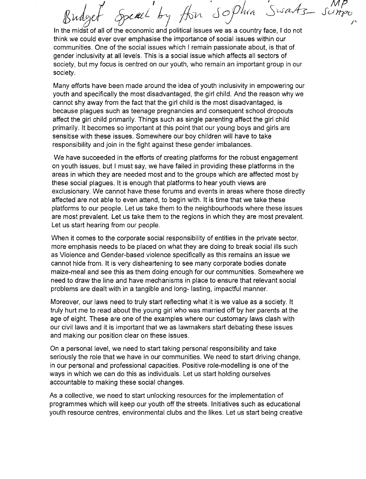£¥ *~L <sup>J</sup> ':* ~VL Swartz  $\mathcal{S}$ o $\rho$ hia  $\mathcal{L}^{\prime}$ 

In the midst of all of the economic and political issues we as a country face, I do not think we could ever over emphasise the importance of social issues within our communities. One of the social issues which I remain passionate about, is that of gender inclusivity at all levels. This is a social issue which affects all sectors of society, but my focus is centred on our youth, who remain an important group in our society.

Many efforts have been made around the idea of youth inclusivity in empowering our youth and specifically the most disadvantaged, the girl child. And the reason why we cannot shy away from the fact that the girl child is the most disadvantaged, is because plagues such as teenage pregnancies and consequent school dropouts affect the girl child primarily. Things such as single parenting affect the girl child primarily. It becomes so important at this point that our young boys and girls are sensitise with these issues. Somewhere our boy children will have to take responsibility and join in the fight against these gender imbalances.

We have succeeded in the efforts of creating platforms for the robust engagement on youth issues, but I must say, we have failed in providing these platforms in the areas in which they are needed most and to the groups which are affected most by these social plagues. It is enough that platforms to hear youth views are exclusionary. We cannot have these forums and events in areas where those directly affected are not able to even attend, to begin with. It is time that we take these platforms to our people. Let us take them to the neighbourhoods where these issues are most prevalent. Let us take them to the regions in which they are most prevalent. Let us start hearing from our people.

When it comes to the corporate social responsibility of entities in the private sector, more emphasis needs to be placed on what they are doing to break social ills such as Violence and Gender-based violence specifically as this remains an issue we cannot hide from. It is very disheartening to see many corporate bodies donate maize-meal and see this as them doing enough for our communities. Somewhere we need to draw the line and have mechanisms in place to ensure that relevant social problems are dealt with in a tangible and long- lasting, impactful manner.

Moreover, our laws need to truly start reflecting what it is we value as a society. It truly hurt me to read about the young girl who was married off by her parents at the age of eight. These are one of the examples where our customary laws clash with our civil laws and it is important that we as lawmakers start debating these issues and making our position clear on these issues.

On a personal level, we need to start taking personal responsibility and take seriously the role that we have in our communities. We need to start driving change, in our personal and professional capacities. Positive role-modelling is one of the ways in which we can do this as individuals. Let us start holding ourselves accountable to making these social changes.

As a collective, we need to start unlocking resources for the implementation of programmes which will keep our youth off the streets. Initiatives such as educational youth resource centres, environmental clubs and the likes. Let us start being creative